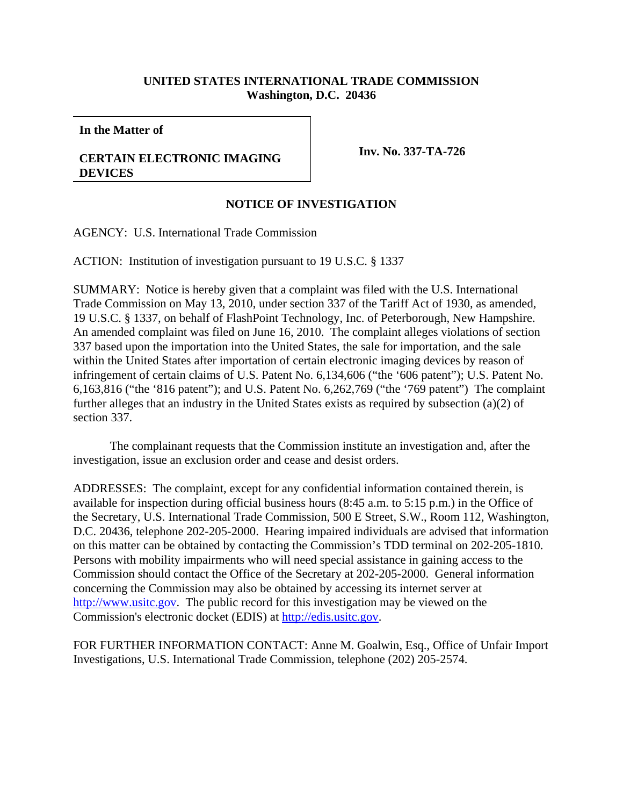## **UNITED STATES INTERNATIONAL TRADE COMMISSION Washington, D.C. 20436**

**In the Matter of**

## **CERTAIN ELECTRONIC IMAGING DEVICES**

**Inv. No. 337-TA-726**

## **NOTICE OF INVESTIGATION**

AGENCY: U.S. International Trade Commission

ACTION: Institution of investigation pursuant to 19 U.S.C. § 1337

SUMMARY: Notice is hereby given that a complaint was filed with the U.S. International Trade Commission on May 13, 2010, under section 337 of the Tariff Act of 1930, as amended, 19 U.S.C. § 1337, on behalf of FlashPoint Technology, Inc. of Peterborough, New Hampshire. An amended complaint was filed on June 16, 2010. The complaint alleges violations of section 337 based upon the importation into the United States, the sale for importation, and the sale within the United States after importation of certain electronic imaging devices by reason of infringement of certain claims of U.S. Patent No. 6,134,606 ("the '606 patent"); U.S. Patent No. 6,163,816 ("the '816 patent"); and U.S. Patent No. 6,262,769 ("the '769 patent") The complaint further alleges that an industry in the United States exists as required by subsection (a)(2) of section 337.

The complainant requests that the Commission institute an investigation and, after the investigation, issue an exclusion order and cease and desist orders.

ADDRESSES: The complaint, except for any confidential information contained therein, is available for inspection during official business hours (8:45 a.m. to 5:15 p.m.) in the Office of the Secretary, U.S. International Trade Commission, 500 E Street, S.W., Room 112, Washington, D.C. 20436, telephone 202-205-2000. Hearing impaired individuals are advised that information on this matter can be obtained by contacting the Commission's TDD terminal on 202-205-1810. Persons with mobility impairments who will need special assistance in gaining access to the Commission should contact the Office of the Secretary at 202-205-2000. General information concerning the Commission may also be obtained by accessing its internet server at http://www.usitc.gov. The public record for this investigation may be viewed on the Commission's electronic docket (EDIS) at http://edis.usitc.gov.

FOR FURTHER INFORMATION CONTACT: Anne M. Goalwin, Esq., Office of Unfair Import Investigations, U.S. International Trade Commission, telephone (202) 205-2574.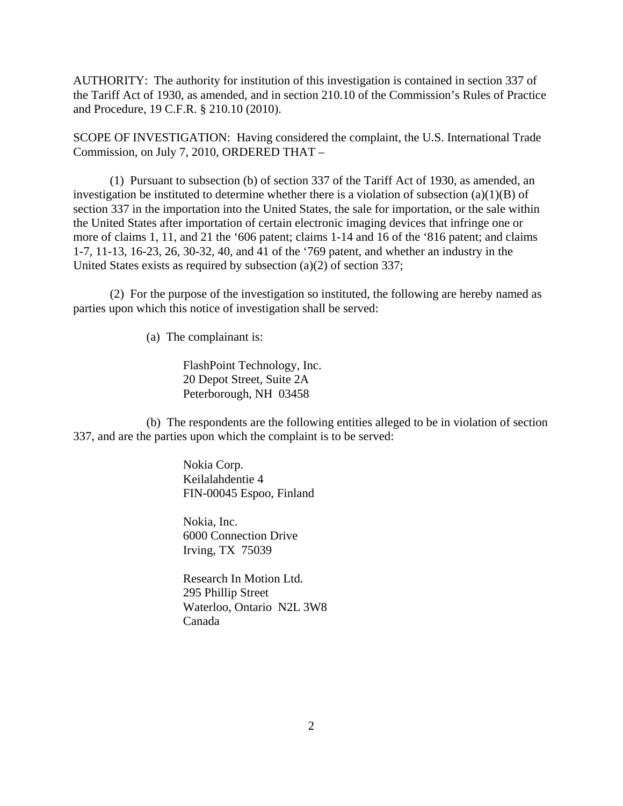AUTHORITY: The authority for institution of this investigation is contained in section 337 of the Tariff Act of 1930, as amended, and in section 210.10 of the Commission's Rules of Practice and Procedure, 19 C.F.R. § 210.10 (2010).

SCOPE OF INVESTIGATION: Having considered the complaint, the U.S. International Trade Commission, on July 7, 2010, ORDERED THAT –

(1) Pursuant to subsection (b) of section 337 of the Tariff Act of 1930, as amended, an investigation be instituted to determine whether there is a violation of subsection  $(a)(1)(B)$  of section 337 in the importation into the United States, the sale for importation, or the sale within the United States after importation of certain electronic imaging devices that infringe one or more of claims 1, 11, and 21 the '606 patent; claims 1-14 and 16 of the '816 patent; and claims 1-7, 11-13, 16-23, 26, 30-32, 40, and 41 of the '769 patent, and whether an industry in the United States exists as required by subsection (a)(2) of section 337;

(2) For the purpose of the investigation so instituted, the following are hereby named as parties upon which this notice of investigation shall be served:

(a) The complainant is:

FlashPoint Technology, Inc. 20 Depot Street, Suite 2A Peterborough, NH 03458

(b) The respondents are the following entities alleged to be in violation of section 337, and are the parties upon which the complaint is to be served:

> Nokia Corp. Keilalahdentie 4 FIN-00045 Espoo, Finland

Nokia, Inc. 6000 Connection Drive Irving, TX 75039

Research In Motion Ltd. 295 Phillip Street Waterloo, Ontario N2L 3W8 Canada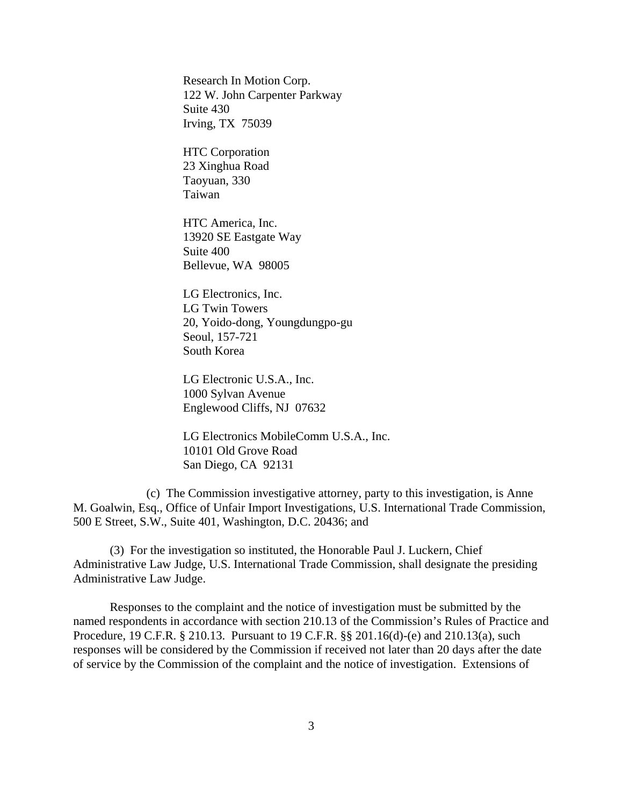Research In Motion Corp. 122 W. John Carpenter Parkway Suite 430 Irving, TX 75039

HTC Corporation 23 Xinghua Road Taoyuan, 330 Taiwan

HTC America, Inc. 13920 SE Eastgate Way Suite 400 Bellevue, WA 98005

LG Electronics, Inc. LG Twin Towers 20, Yoido-dong, Youngdungpo-gu Seoul, 157-721 South Korea

LG Electronic U.S.A., Inc. 1000 Sylvan Avenue Englewood Cliffs, NJ 07632

LG Electronics MobileComm U.S.A., Inc. 10101 Old Grove Road San Diego, CA 92131

(c) The Commission investigative attorney, party to this investigation, is Anne M. Goalwin, Esq., Office of Unfair Import Investigations, U.S. International Trade Commission, 500 E Street, S.W., Suite 401, Washington, D.C. 20436; and

(3) For the investigation so instituted, the Honorable Paul J. Luckern, Chief Administrative Law Judge, U.S. International Trade Commission, shall designate the presiding Administrative Law Judge.

Responses to the complaint and the notice of investigation must be submitted by the named respondents in accordance with section 210.13 of the Commission's Rules of Practice and Procedure, 19 C.F.R. § 210.13. Pursuant to 19 C.F.R. §§ 201.16(d)-(e) and 210.13(a), such responses will be considered by the Commission if received not later than 20 days after the date of service by the Commission of the complaint and the notice of investigation. Extensions of